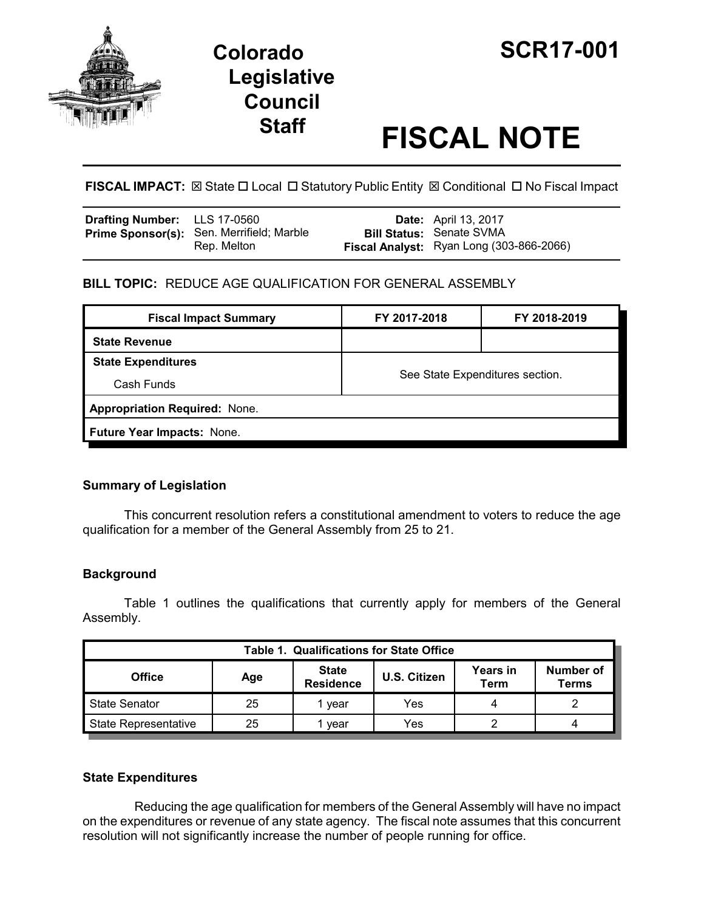



# **Staff FISCAL NOTE**

**FISCAL IMPACT:**  $\boxtimes$  **State □ Local □ Statutory Public Entity**  $\boxtimes$  **Conditional □ No Fiscal Impact** 

| <b>Drafting Number:</b> LLS 17-0560 |                                                          | <b>Date:</b> April 13, 2017                                                 |
|-------------------------------------|----------------------------------------------------------|-----------------------------------------------------------------------------|
|                                     | Prime Sponsor(s): Sen. Merrifield; Marble<br>Rep. Melton | <b>Bill Status: Senate SVMA</b><br>Fiscal Analyst: Ryan Long (303-866-2066) |

## **BILL TOPIC:** REDUCE AGE QUALIFICATION FOR GENERAL ASSEMBLY

| <b>Fiscal Impact Summary</b>         | FY 2017-2018                    | FY 2018-2019 |  |  |  |  |
|--------------------------------------|---------------------------------|--------------|--|--|--|--|
| <b>State Revenue</b>                 |                                 |              |  |  |  |  |
| <b>State Expenditures</b>            | See State Expenditures section. |              |  |  |  |  |
| Cash Funds                           |                                 |              |  |  |  |  |
| <b>Appropriation Required: None.</b> |                                 |              |  |  |  |  |
| Future Year Impacts: None.           |                                 |              |  |  |  |  |
|                                      |                                 |              |  |  |  |  |

### **Summary of Legislation**

This concurrent resolution refers a constitutional amendment to voters to reduce the age qualification for a member of the General Assembly from 25 to 21.

### **Background**

Table 1 outlines the qualifications that currently apply for members of the General Assembly.

| <b>Table 1. Qualifications for State Office</b> |     |                                  |              |                         |                    |  |  |
|-------------------------------------------------|-----|----------------------------------|--------------|-------------------------|--------------------|--|--|
| <b>Office</b>                                   | Age | <b>State</b><br><b>Residence</b> | U.S. Citizen | <b>Years in</b><br>Term | Number of<br>Terms |  |  |
| <b>State Senator</b>                            | 25  | vear                             | Yes          |                         |                    |  |  |
| State Representative                            | 25  | vear                             | Yes          |                         | 4                  |  |  |

### **State Expenditures**

Reducing the age qualification for members of the General Assembly will have no impact on the expenditures or revenue of any state agency. The fiscal note assumes that this concurrent resolution will not significantly increase the number of people running for office.